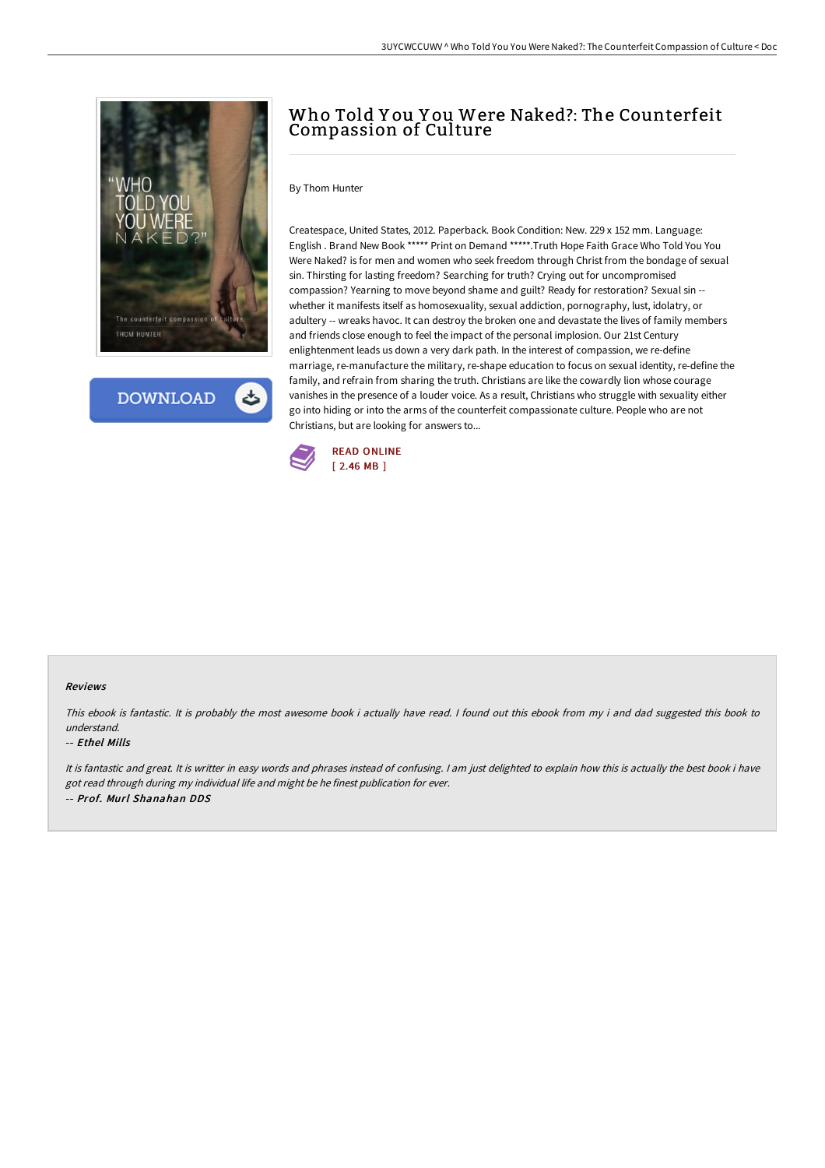

**DOWNLOAD** 

# Who Told Y ou Y ou Were Naked?: The Counterfeit Compassion of Culture

### By Thom Hunter

Createspace, United States, 2012. Paperback. Book Condition: New. 229 x 152 mm. Language: English . Brand New Book \*\*\*\*\* Print on Demand \*\*\*\*\*.Truth Hope Faith Grace Who Told You You Were Naked? is for men and women who seek freedom through Christ from the bondage of sexual sin. Thirsting for lasting freedom? Searching for truth? Crying out for uncompromised compassion? Yearning to move beyond shame and guilt? Ready for restoration? Sexual sin - whether it manifests itself as homosexuality, sexual addiction, pornography, lust, idolatry, or adultery -- wreaks havoc. It can destroy the broken one and devastate the lives of family members and friends close enough to feel the impact of the personal implosion. Our 21st Century enlightenment leads us down a very dark path. In the interest of compassion, we re-define marriage, re-manufacture the military, re-shape education to focus on sexual identity, re-define the family, and refrain from sharing the truth. Christians are like the cowardly lion whose courage vanishes in the presence of a louder voice. As a result, Christians who struggle with sexuality either go into hiding or into the arms of the counterfeit compassionate culture. People who are not Christians, but are looking for answers to...



#### Reviews

This ebook is fantastic. It is probably the most awesome book i actually have read. <sup>I</sup> found out this ebook from my i and dad suggested this book to understand.

#### -- Ethel Mills

It is fantastic and great. It is writter in easy words and phrases instead of confusing. <sup>I</sup> am just delighted to explain how this is actually the best book i have got read through during my individual life and might be he finest publication for ever. -- Prof. Murl Shanahan DDS